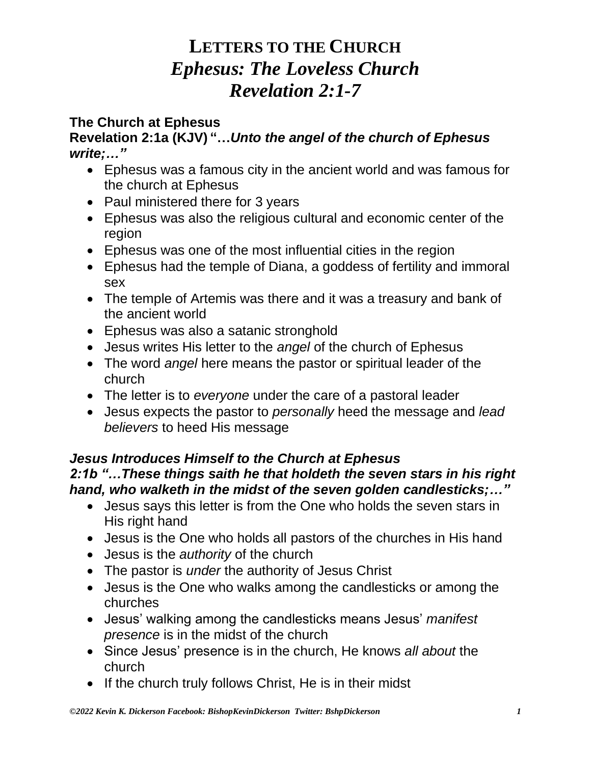### **The Church at Ephesus**

### **Revelation 2:1a (KJV) "…***Unto the angel of the church of Ephesus write;…"*

- Ephesus was a famous city in the ancient world and was famous for the church at Ephesus
- Paul ministered there for 3 years
- Ephesus was also the religious cultural and economic center of the region
- Ephesus was one of the most influential cities in the region
- Ephesus had the temple of Diana, a goddess of fertility and immoral sex
- The temple of Artemis was there and it was a treasury and bank of the ancient world
- Ephesus was also a satanic stronghold
- Jesus writes His letter to the *angel* of the church of Ephesus
- The word *angel* here means the pastor or spiritual leader of the church
- The letter is to *everyone* under the care of a pastoral leader
- Jesus expects the pastor to *personally* heed the message and *lead believers* to heed His message

#### *Jesus Introduces Himself to the Church at Ephesus 2:1b "…These things saith he that holdeth the seven stars in his right hand, who walketh in the midst of the seven golden candlesticks;…"*

- Jesus says this letter is from the One who holds the seven stars in His right hand
- Jesus is the One who holds all pastors of the churches in His hand
- Jesus is the *authority* of the church
- The pastor is *under* the authority of Jesus Christ
- Jesus is the One who walks among the candlesticks or among the churches
- Jesus' walking among the candlesticks means Jesus' *manifest presence* is in the midst of the church
- Since Jesus' presence is in the church, He knows *all about* the church
- If the church truly follows Christ, He is in their midst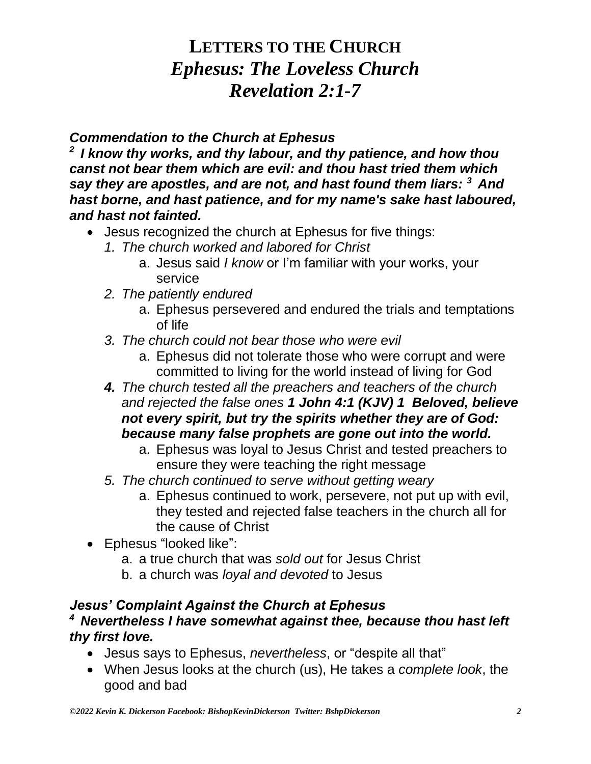### *Commendation to the Church at Ephesus*

*<sup>2</sup>I know thy works, and thy labour, and thy patience, and how thou canst not bear them which are evil: and thou hast tried them which say they are apostles, and are not, and hast found them liars: <sup>3</sup>And hast borne, and hast patience, and for my name's sake hast laboured, and hast not fainted.* 

- Jesus recognized the church at Ephesus for five things:
	- *1. The church worked and labored for Christ*
		- a. Jesus said *I know* or I'm familiar with your works, your service
	- *2. The patiently endured*
		- a. Ephesus persevered and endured the trials and temptations of life
	- *3. The church could not bear those who were evil*
		- a. Ephesus did not tolerate those who were corrupt and were committed to living for the world instead of living for God
	- *4. The church tested all the preachers and teachers of the church and rejected the false ones 1 John 4:1 (KJV) 1 Beloved, believe not every spirit, but try the spirits whether they are of God: because many false prophets are gone out into the world.* 
		- a. Ephesus was loyal to Jesus Christ and tested preachers to ensure they were teaching the right message
	- *5. The church continued to serve without getting weary* 
		- a. Ephesus continued to work, persevere, not put up with evil, they tested and rejected false teachers in the church all for the cause of Christ
- Ephesus "looked like":
	- a. a true church that was *sold out* for Jesus Christ
	- b. a church was *loyal and devoted* to Jesus

### *Jesus' Complaint Against the Church at Ephesus <sup>4</sup>Nevertheless I have somewhat against thee, because thou hast left thy first love.*

- Jesus says to Ephesus, *nevertheless*, or "despite all that"
- When Jesus looks at the church (us), He takes a *complete look*, the good and bad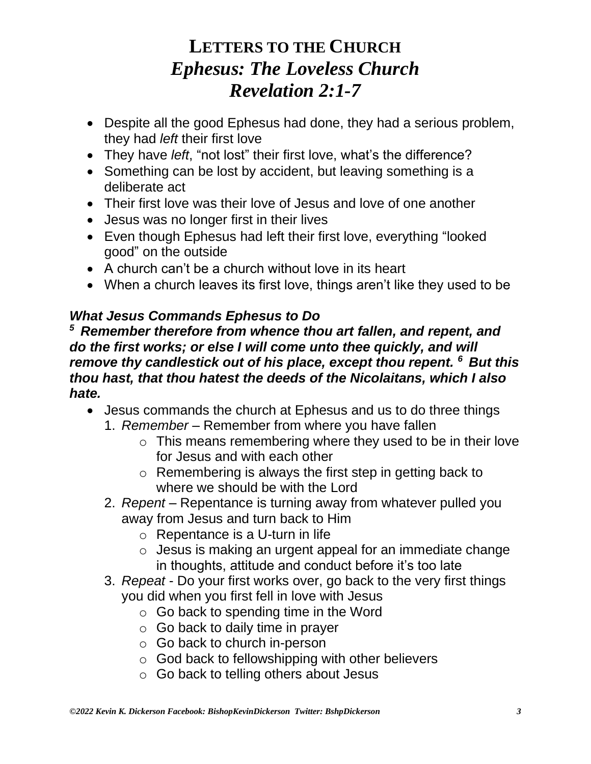- Despite all the good Ephesus had done, they had a serious problem, they had *left* their first love
- They have *left*, "not lost" their first love, what's the difference?
- Something can be lost by accident, but leaving something is a deliberate act
- Their first love was their love of Jesus and love of one another
- Jesus was no longer first in their lives
- Even though Ephesus had left their first love, everything "looked good" on the outside
- A church can't be a church without love in its heart
- When a church leaves its first love, things aren't like they used to be

### *What Jesus Commands Ephesus to Do*

*<sup>5</sup>Remember therefore from whence thou art fallen, and repent, and do the first works; or else I will come unto thee quickly, and will remove thy candlestick out of his place, except thou repent. <sup>6</sup>But this thou hast, that thou hatest the deeds of the Nicolaitans, which I also hate.*

- Jesus commands the church at Ephesus and us to do three things
	- 1. *Remember* Remember from where you have fallen
		- o This means remembering where they used to be in their love for Jesus and with each other
		- o Remembering is always the first step in getting back to where we should be with the Lord
	- 2. *Repent* Repentance is turning away from whatever pulled you away from Jesus and turn back to Him
		- o Repentance is a U-turn in life
		- o Jesus is making an urgent appeal for an immediate change in thoughts, attitude and conduct before it's too late
	- 3. *Repeat* Do your first works over, go back to the very first things you did when you first fell in love with Jesus
		- $\circ$  Go back to spending time in the Word
		- $\circ$  Go back to daily time in prayer
		- o Go back to church in-person
		- o God back to fellowshipping with other believers
		- o Go back to telling others about Jesus